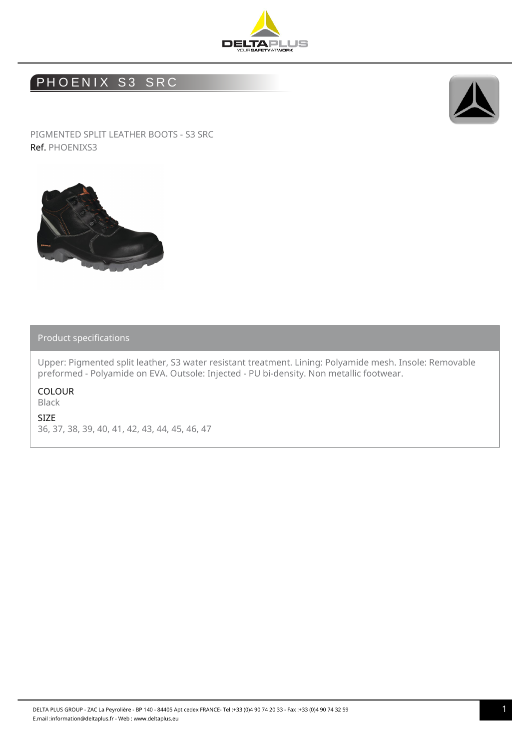

## PHOENIX S3 SRC



PIGMENTED SPLIT LEATHER BOOTS - S3 SRC Ref. PHOENIXS3



## Product specifications

Upper: Pigmented split leather, S3 water resistant treatment. Lining: Polyamide mesh. Insole: Removable preformed - Polyamide on EVA. Outsole: Injected - PU bi-density. Non metallic footwear.

COLOUR Black

SIZE

36, 37, 38, 39, 40, 41, 42, 43, 44, 45, 46, 47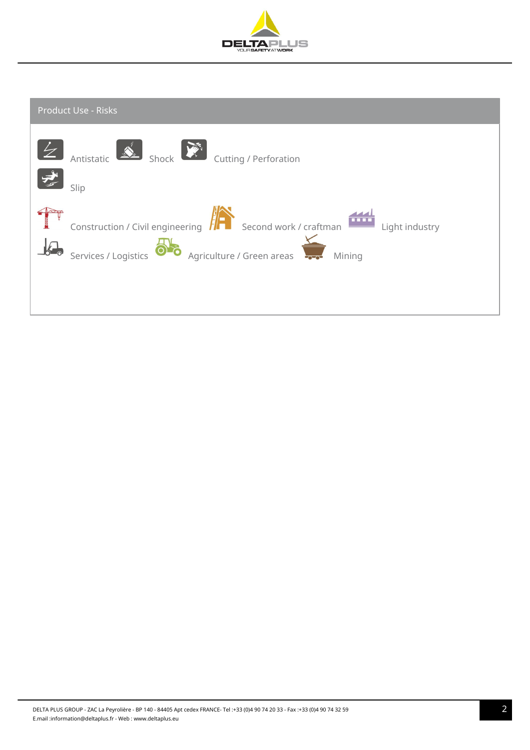

| <b>Product Use - Risks</b>                                                                                                                                |
|-----------------------------------------------------------------------------------------------------------------------------------------------------------|
| Antistatic Shock Cutting / Perforation<br>بشي<br>Slip                                                                                                     |
| Construction / Civil engineering <b>FREE</b> Second work / craftman<br>Light industry<br>Also Agriculture / Green areas<br>Services / Logistics<br>Mining |
|                                                                                                                                                           |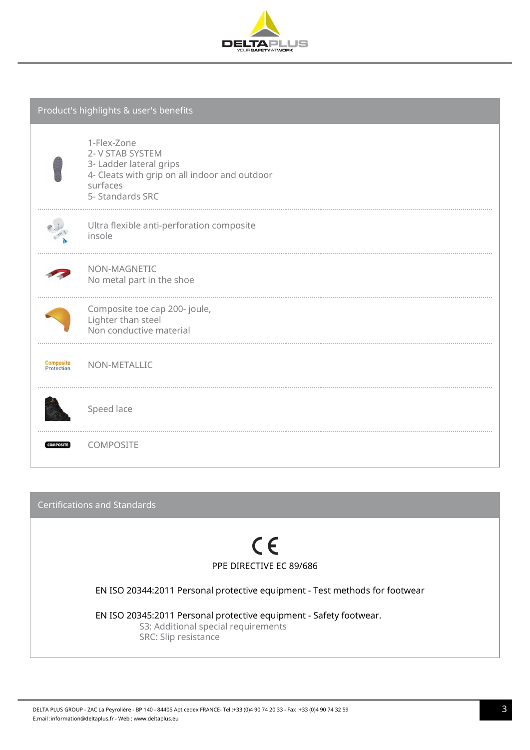

| Product's highlights & user's benefits |                                                                                                                                             |  |  |  |  |  |
|----------------------------------------|---------------------------------------------------------------------------------------------------------------------------------------------|--|--|--|--|--|
|                                        | 1-Flex-Zone<br>2- V STAB SYSTEM<br>3- Ladder lateral grips<br>4- Cleats with grip on all indoor and outdoor<br>surfaces<br>5- Standards SRC |  |  |  |  |  |
|                                        | Ultra flexible anti-perforation composite<br>insole                                                                                         |  |  |  |  |  |
|                                        | NON-MAGNETIC<br>No metal part in the shoe                                                                                                   |  |  |  |  |  |
|                                        | Composite toe cap 200- joule,<br>Lighter than steel<br>Non conductive material                                                              |  |  |  |  |  |
| <b>Composite</b><br>Protection         | NON-METALLIC                                                                                                                                |  |  |  |  |  |
|                                        | Speed lace                                                                                                                                  |  |  |  |  |  |
| <b>COMPOSITE</b>                       | COMPOSITE                                                                                                                                   |  |  |  |  |  |

Certifications and Standards  $C \in$ PPE DIRECTIVE EC 89/686 EN ISO 20344:2011 Personal protective equipment - Test methods for footwear EN ISO 20345:2011 Personal protective equipment - Safety footwear. S3: Additional special requirements

SRC: Slip resistance